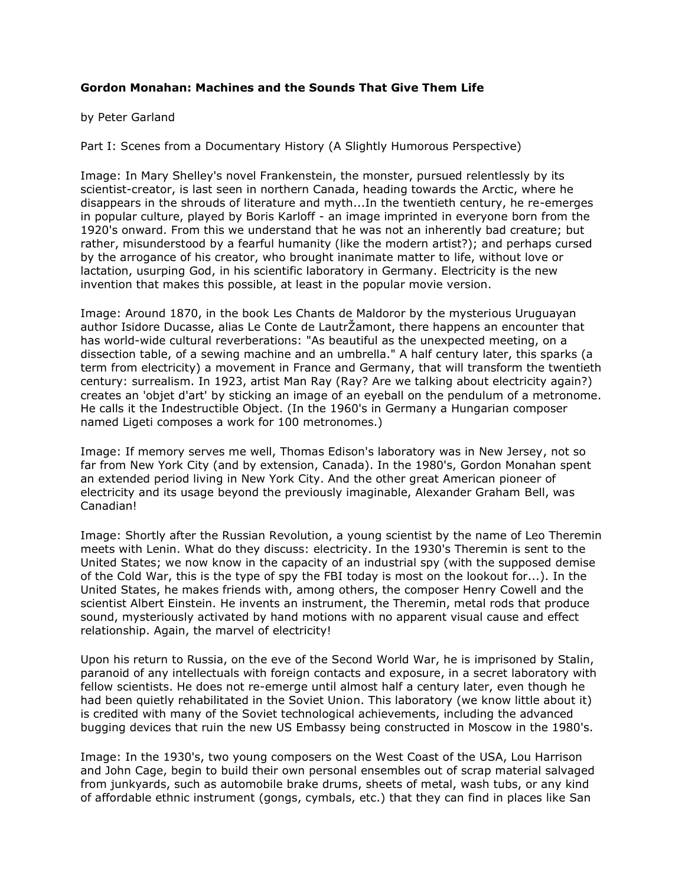## **Gordon Monahan: Machines and the Sounds That Give Them Life**

## by Peter Garland

Part I: Scenes from a Documentary History (A Slightly Humorous Perspective)

Image: In Mary Shelley's novel Frankenstein, the monster, pursued relentlessly by its scientist-creator, is last seen in northern Canada, heading towards the Arctic, where he disappears in the shrouds of literature and myth...In the twentieth century, he re-emerges in popular culture, played by Boris Karloff - an image imprinted in everyone born from the 1920's onward. From this we understand that he was not an inherently bad creature; but rather, misunderstood by a fearful humanity (like the modern artist?); and perhaps cursed by the arrogance of his creator, who brought inanimate matter to life, without love or lactation, usurping God, in his scientific laboratory in Germany. Electricity is the new invention that makes this possible, at least in the popular movie version.

Image: Around 1870, in the book Les Chants de Maldoror by the mysterious Uruguayan author Isidore Ducasse, alias Le Conte de LautrŽamont, there happens an encounter that has world-wide cultural reverberations: "As beautiful as the unexpected meeting, on a dissection table, of a sewing machine and an umbrella." A half century later, this sparks (a term from electricity) a movement in France and Germany, that will transform the twentieth century: surrealism. In 1923, artist Man Ray (Ray? Are we talking about electricity again?) creates an 'objet d'art' by sticking an image of an eyeball on the pendulum of a metronome. He calls it the Indestructible Object. (In the 1960's in Germany a Hungarian composer named Ligeti composes a work for 100 metronomes.)

Image: If memory serves me well, Thomas Edison's laboratory was in New Jersey, not so far from New York City (and by extension, Canada). In the 1980's, Gordon Monahan spent an extended period living in New York City. And the other great American pioneer of electricity and its usage beyond the previously imaginable, Alexander Graham Bell, was Canadian!

Image: Shortly after the Russian Revolution, a young scientist by the name of Leo Theremin meets with Lenin. What do they discuss: electricity. In the 1930's Theremin is sent to the United States; we now know in the capacity of an industrial spy (with the supposed demise of the Cold War, this is the type of spy the FBI today is most on the lookout for...). In the United States, he makes friends with, among others, the composer Henry Cowell and the scientist Albert Einstein. He invents an instrument, the Theremin, metal rods that produce sound, mysteriously activated by hand motions with no apparent visual cause and effect relationship. Again, the marvel of electricity!

Upon his return to Russia, on the eve of the Second World War, he is imprisoned by Stalin, paranoid of any intellectuals with foreign contacts and exposure, in a secret laboratory with fellow scientists. He does not re-emerge until almost half a century later, even though he had been quietly rehabilitated in the Soviet Union. This laboratory (we know little about it) is credited with many of the Soviet technological achievements, including the advanced bugging devices that ruin the new US Embassy being constructed in Moscow in the 1980's.

Image: In the 1930's, two young composers on the West Coast of the USA, Lou Harrison and John Cage, begin to build their own personal ensembles out of scrap material salvaged from junkyards, such as automobile brake drums, sheets of metal, wash tubs, or any kind of affordable ethnic instrument (gongs, cymbals, etc.) that they can find in places like San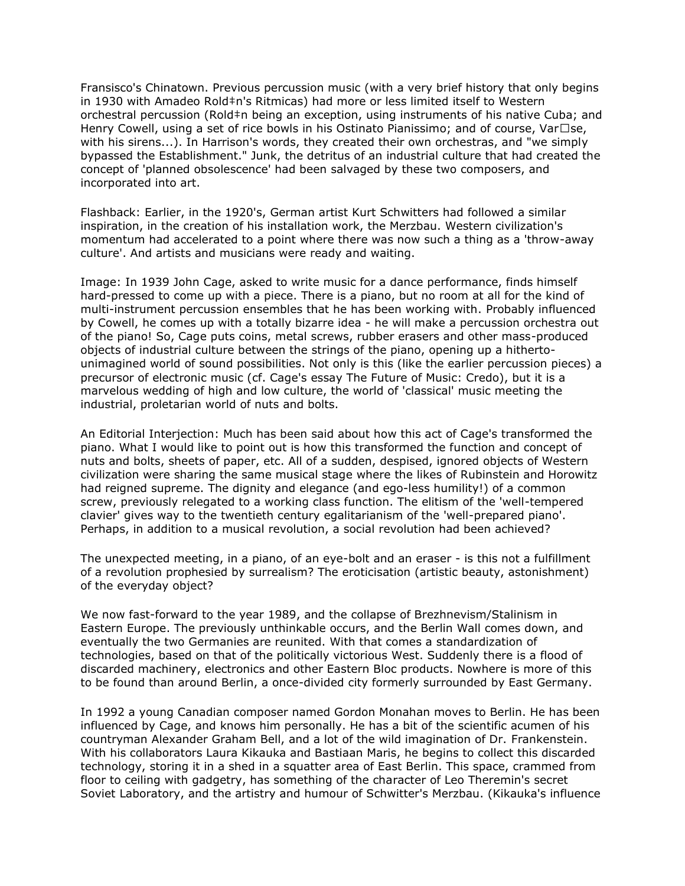Fransisco's Chinatown. Previous percussion music (with a very brief history that only begins in 1930 with Amadeo Rold‡n's Ritmicas) had more or less limited itself to Western orchestral percussion (Rold‡n being an exception, using instruments of his native Cuba; and Henry Cowell, using a set of rice bowls in his Ostinato Pianissimo; and of course, Var• se, with his sirens...). In Harrison's words, they created their own orchestras, and "we simply bypassed the Establishment." Junk, the detritus of an industrial culture that had created the concept of 'planned obsolescence' had been salvaged by these two composers, and incorporated into art.

Flashback: Earlier, in the 1920's, German artist Kurt Schwitters had followed a similar inspiration, in the creation of his installation work, the Merzbau. Western civilization's momentum had accelerated to a point where there was now such a thing as a 'throw-away culture'. And artists and musicians were ready and waiting.

Image: In 1939 John Cage, asked to write music for a dance performance, finds himself hard-pressed to come up with a piece. There is a piano, but no room at all for the kind of multi-instrument percussion ensembles that he has been working with. Probably influenced by Cowell, he comes up with a totally bizarre idea - he will make a percussion orchestra out of the piano! So, Cage puts coins, metal screws, rubber erasers and other mass-produced objects of industrial culture between the strings of the piano, opening up a hithertounimagined world of sound possibilities. Not only is this (like the earlier percussion pieces) a precursor of electronic music (cf. Cage's essay The Future of Music: Credo), but it is a marvelous wedding of high and low culture, the world of 'classical' music meeting the industrial, proletarian world of nuts and bolts.

An Editorial Interjection: Much has been said about how this act of Cage's transformed the piano. What I would like to point out is how this transformed the function and concept of nuts and bolts, sheets of paper, etc. All of a sudden, despised, ignored objects of Western civilization were sharing the same musical stage where the likes of Rubinstein and Horowitz had reigned supreme. The dignity and elegance (and ego-less humility!) of a common screw, previously relegated to a working class function. The elitism of the 'well-tempered clavier' gives way to the twentieth century egalitarianism of the 'well-prepared piano'. Perhaps, in addition to a musical revolution, a social revolution had been achieved?

The unexpected meeting, in a piano, of an eye-bolt and an eraser - is this not a fulfillment of a revolution prophesied by surrealism? The eroticisation (artistic beauty, astonishment) of the everyday object?

We now fast-forward to the year 1989, and the collapse of Brezhnevism/Stalinism in Eastern Europe. The previously unthinkable occurs, and the Berlin Wall comes down, and eventually the two Germanies are reunited. With that comes a standardization of technologies, based on that of the politically victorious West. Suddenly there is a flood of discarded machinery, electronics and other Eastern Bloc products. Nowhere is more of this to be found than around Berlin, a once-divided city formerly surrounded by East Germany.

In 1992 a young Canadian composer named Gordon Monahan moves to Berlin. He has been influenced by Cage, and knows him personally. He has a bit of the scientific acumen of his countryman Alexander Graham Bell, and a lot of the wild imagination of Dr. Frankenstein. With his collaborators Laura Kikauka and Bastiaan Maris, he begins to collect this discarded technology, storing it in a shed in a squatter area of East Berlin. This space, crammed from floor to ceiling with gadgetry, has something of the character of Leo Theremin's secret Soviet Laboratory, and the artistry and humour of Schwitter's Merzbau. (Kikauka's influence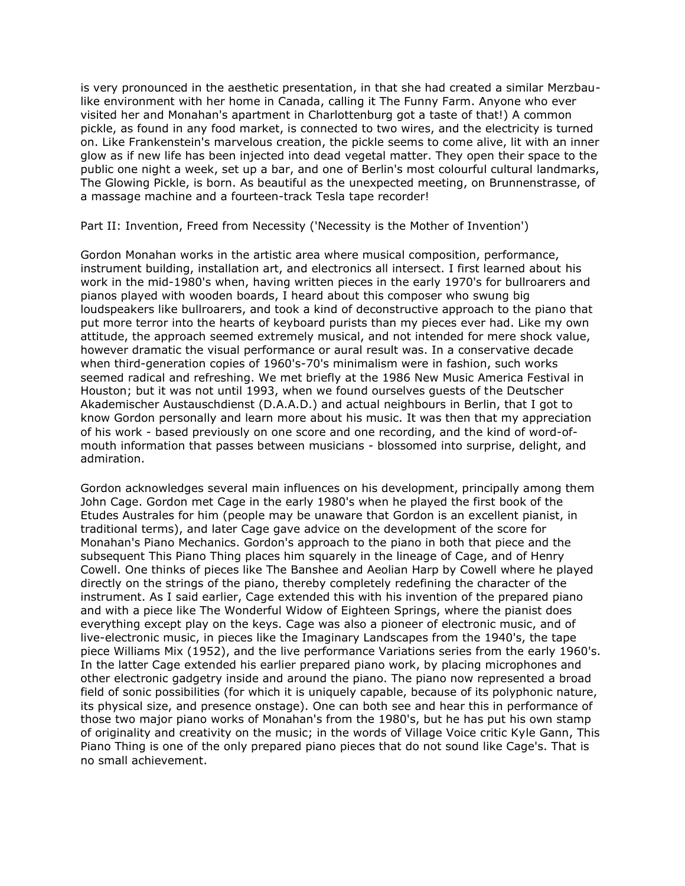is very pronounced in the aesthetic presentation, in that she had created a similar Merzbaulike environment with her home in Canada, calling it The Funny Farm. Anyone who ever visited her and Monahan's apartment in Charlottenburg got a taste of that!) A common pickle, as found in any food market, is connected to two wires, and the electricity is turned on. Like Frankenstein's marvelous creation, the pickle seems to come alive, lit with an inner glow as if new life has been injected into dead vegetal matter. They open their space to the public one night a week, set up a bar, and one of Berlin's most colourful cultural landmarks, The Glowing Pickle, is born. As beautiful as the unexpected meeting, on Brunnenstrasse, of a massage machine and a fourteen-track Tesla tape recorder!

Part II: Invention, Freed from Necessity ('Necessity is the Mother of Invention')

Gordon Monahan works in the artistic area where musical composition, performance, instrument building, installation art, and electronics all intersect. I first learned about his work in the mid-1980's when, having written pieces in the early 1970's for bullroarers and pianos played with wooden boards, I heard about this composer who swung big loudspeakers like bullroarers, and took a kind of deconstructive approach to the piano that put more terror into the hearts of keyboard purists than my pieces ever had. Like my own attitude, the approach seemed extremely musical, and not intended for mere shock value, however dramatic the visual performance or aural result was. In a conservative decade when third-generation copies of 1960's-70's minimalism were in fashion, such works seemed radical and refreshing. We met briefly at the 1986 New Music America Festival in Houston; but it was not until 1993, when we found ourselves guests of the Deutscher Akademischer Austauschdienst (D.A.A.D.) and actual neighbours in Berlin, that I got to know Gordon personally and learn more about his music. It was then that my appreciation of his work - based previously on one score and one recording, and the kind of word-ofmouth information that passes between musicians - blossomed into surprise, delight, and admiration.

Gordon acknowledges several main influences on his development, principally among them John Cage. Gordon met Cage in the early 1980's when he played the first book of the Etudes Australes for him (people may be unaware that Gordon is an excellent pianist, in traditional terms), and later Cage gave advice on the development of the score for Monahan's Piano Mechanics. Gordon's approach to the piano in both that piece and the subsequent This Piano Thing places him squarely in the lineage of Cage, and of Henry Cowell. One thinks of pieces like The Banshee and Aeolian Harp by Cowell where he played directly on the strings of the piano, thereby completely redefining the character of the instrument. As I said earlier, Cage extended this with his invention of the prepared piano and with a piece like The Wonderful Widow of Eighteen Springs, where the pianist does everything except play on the keys. Cage was also a pioneer of electronic music, and of live-electronic music, in pieces like the Imaginary Landscapes from the 1940's, the tape piece Williams Mix (1952), and the live performance Variations series from the early 1960's. In the latter Cage extended his earlier prepared piano work, by placing microphones and other electronic gadgetry inside and around the piano. The piano now represented a broad field of sonic possibilities (for which it is uniquely capable, because of its polyphonic nature, its physical size, and presence onstage). One can both see and hear this in performance of those two major piano works of Monahan's from the 1980's, but he has put his own stamp of originality and creativity on the music; in the words of Village Voice critic Kyle Gann, This Piano Thing is one of the only prepared piano pieces that do not sound like Cage's. That is no small achievement.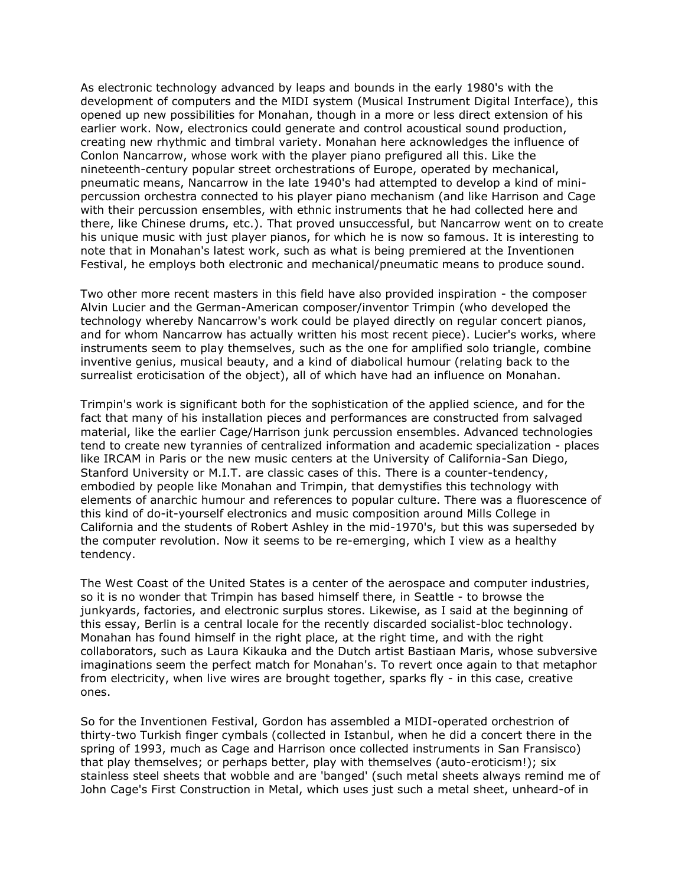As electronic technology advanced by leaps and bounds in the early 1980's with the development of computers and the MIDI system (Musical Instrument Digital Interface), this opened up new possibilities for Monahan, though in a more or less direct extension of his earlier work. Now, electronics could generate and control acoustical sound production, creating new rhythmic and timbral variety. Monahan here acknowledges the influence of Conlon Nancarrow, whose work with the player piano prefigured all this. Like the nineteenth-century popular street orchestrations of Europe, operated by mechanical, pneumatic means, Nancarrow in the late 1940's had attempted to develop a kind of minipercussion orchestra connected to his player piano mechanism (and like Harrison and Cage with their percussion ensembles, with ethnic instruments that he had collected here and there, like Chinese drums, etc.). That proved unsuccessful, but Nancarrow went on to create his unique music with just player pianos, for which he is now so famous. It is interesting to note that in Monahan's latest work, such as what is being premiered at the Inventionen Festival, he employs both electronic and mechanical/pneumatic means to produce sound.

Two other more recent masters in this field have also provided inspiration - the composer Alvin Lucier and the German-American composer/inventor Trimpin (who developed the technology whereby Nancarrow's work could be played directly on regular concert pianos, and for whom Nancarrow has actually written his most recent piece). Lucier's works, where instruments seem to play themselves, such as the one for amplified solo triangle, combine inventive genius, musical beauty, and a kind of diabolical humour (relating back to the surrealist eroticisation of the object), all of which have had an influence on Monahan.

Trimpin's work is significant both for the sophistication of the applied science, and for the fact that many of his installation pieces and performances are constructed from salvaged material, like the earlier Cage/Harrison junk percussion ensembles. Advanced technologies tend to create new tyrannies of centralized information and academic specialization - places like IRCAM in Paris or the new music centers at the University of California-San Diego, Stanford University or M.I.T. are classic cases of this. There is a counter-tendency, embodied by people like Monahan and Trimpin, that demystifies this technology with elements of anarchic humour and references to popular culture. There was a fluorescence of this kind of do-it-yourself electronics and music composition around Mills College in California and the students of Robert Ashley in the mid-1970's, but this was superseded by the computer revolution. Now it seems to be re-emerging, which I view as a healthy tendency.

The West Coast of the United States is a center of the aerospace and computer industries, so it is no wonder that Trimpin has based himself there, in Seattle - to browse the junkyards, factories, and electronic surplus stores. Likewise, as I said at the beginning of this essay, Berlin is a central locale for the recently discarded socialist-bloc technology. Monahan has found himself in the right place, at the right time, and with the right collaborators, such as Laura Kikauka and the Dutch artist Bastiaan Maris, whose subversive imaginations seem the perfect match for Monahan's. To revert once again to that metaphor from electricity, when live wires are brought together, sparks fly - in this case, creative ones.

So for the Inventionen Festival, Gordon has assembled a MIDI-operated orchestrion of thirty-two Turkish finger cymbals (collected in Istanbul, when he did a concert there in the spring of 1993, much as Cage and Harrison once collected instruments in San Fransisco) that play themselves; or perhaps better, play with themselves (auto-eroticism!); six stainless steel sheets that wobble and are 'banged' (such metal sheets always remind me of John Cage's First Construction in Metal, which uses just such a metal sheet, unheard-of in